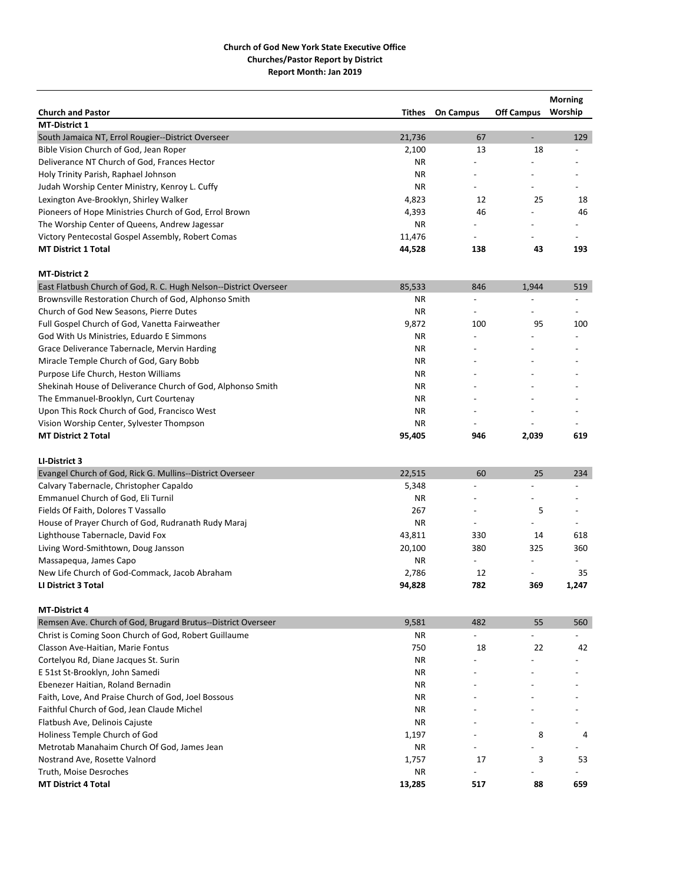| <b>Off Campus</b><br>Worship<br><b>Church and Pastor</b><br>Tithes<br><b>On Campus</b><br><b>MT-District 1</b><br>21,736<br>67<br>129<br>Bible Vision Church of God, Jean Roper<br>2,100<br>18<br>13<br>Deliverance NT Church of God, Frances Hector<br>NR.<br><b>NR</b><br>Holy Trinity Parish, Raphael Johnson<br>Judah Worship Center Ministry, Kenroy L. Cuffy<br><b>NR</b><br>Lexington Ave-Brooklyn, Shirley Walker<br>4,823<br>25<br>12<br>18<br>4,393<br>46<br>Pioneers of Hope Ministries Church of God, Errol Brown<br>46<br><b>NR</b><br>The Worship Center of Queens, Andrew Jagessar<br>Victory Pentecostal Gospel Assembly, Robert Comas<br>11,476<br>$\overline{\phantom{a}}$<br>$\overline{a}$<br>$\overline{\phantom{a}}$<br><b>MT District 1 Total</b><br>44,528<br>138<br>43<br>193<br><b>MT-District 2</b><br>East Flatbush Church of God, R. C. Hugh Nelson--District Overseer<br>85,533<br>1,944<br>846<br>519<br>Brownsville Restoration Church of God, Alphonso Smith<br>ΝR<br>Church of God New Seasons, Pierre Dutes<br><b>NR</b><br>$\overline{\phantom{0}}$<br>9,872<br>95<br>Full Gospel Church of God, Vanetta Fairweather<br>100<br>100<br>God With Us Ministries, Eduardo E Simmons<br>ΝR<br>Grace Deliverance Tabernacle, Mervin Harding<br>ΝR<br><b>NR</b><br>Miracle Temple Church of God, Gary Bobb<br>Purpose Life Church, Heston Williams<br>ΝR<br>Shekinah House of Deliverance Church of God, Alphonso Smith<br><b>NR</b><br>The Emmanuel-Brooklyn, Curt Courtenay<br><b>NR</b><br>Upon This Rock Church of God, Francisco West<br><b>NR</b><br>-<br>$\overline{a}$<br>Vision Worship Center, Sylvester Thompson<br>ΝR<br><b>MT District 2 Total</b><br>95,405<br>619<br>946<br>2,039<br>LI-District 3<br>25<br>Evangel Church of God, Rick G. Mullins--District Overseer<br>22,515<br>60<br>234<br>Calvary Tabernacle, Christopher Capaldo<br>5,348<br>Emmanuel Church of God, Eli Turnil<br>ΝR<br>$\overline{a}$<br>Fields Of Faith, Dolores T Vassallo<br>267<br>5<br>$\overline{a}$<br>House of Prayer Church of God, Rudranath Rudy Maraj<br><b>NR</b><br>Lighthouse Tabernacle, David Fox<br>43,811<br>330<br>618<br>14<br>Living Word-Smithtown, Doug Jansson<br>20,100<br>380<br>325<br>360<br><b>NR</b><br>Massapequa, James Capo<br>New Life Church of God-Commack, Jacob Abraham<br>2,786<br>12<br>35<br>94,828<br>782<br>369<br>1,247<br><b>LI District 3 Total</b><br><b>MT-District 4</b><br>Remsen Ave. Church of God, Brugard Brutus--District Overseer<br>9,581<br>482<br>55<br>560<br>Christ is Coming Soon Church of God, Robert Guillaume<br>ΝR<br>22<br>Classon Ave-Haitian, Marie Fontus<br>750<br>18<br>42<br>Cortelyou Rd, Diane Jacques St. Surin<br>ΝR<br>E 51st St-Brooklyn, John Samedi<br><b>NR</b><br>Ebenezer Haitian, Roland Bernadin<br>ΝR<br>Faith, Love, And Praise Church of God, Joel Bossous<br>ΝR<br>Faithful Church of God, Jean Claude Michel<br>ΝR<br>Flatbush Ave, Delinois Cajuste<br><b>NR</b><br>Holiness Temple Church of God<br>1,197<br>8<br>4<br>Metrotab Manahaim Church Of God, James Jean<br>ΝR<br>1,757<br>3<br>Nostrand Ave, Rosette Valnord<br>17<br>53<br>Truth, Moise Desroches<br>ΝR<br>$\overline{\phantom{a}}$<br>$\overline{\phantom{a}}$<br><b>MT District 4 Total</b><br>13,285<br>517<br>88<br>659 |                                                    |  | <b>Morning</b> |
|-------------------------------------------------------------------------------------------------------------------------------------------------------------------------------------------------------------------------------------------------------------------------------------------------------------------------------------------------------------------------------------------------------------------------------------------------------------------------------------------------------------------------------------------------------------------------------------------------------------------------------------------------------------------------------------------------------------------------------------------------------------------------------------------------------------------------------------------------------------------------------------------------------------------------------------------------------------------------------------------------------------------------------------------------------------------------------------------------------------------------------------------------------------------------------------------------------------------------------------------------------------------------------------------------------------------------------------------------------------------------------------------------------------------------------------------------------------------------------------------------------------------------------------------------------------------------------------------------------------------------------------------------------------------------------------------------------------------------------------------------------------------------------------------------------------------------------------------------------------------------------------------------------------------------------------------------------------------------------------------------------------------------------------------------------------------------------------------------------------------------------------------------------------------------------------------------------------------------------------------------------------------------------------------------------------------------------------------------------------------------------------------------------------------------------------------------------------------------------------------------------------------------------------------------------------------------------------------------------------------------------------------------------------------------------------------------------------------------------------------------------------------------------------------------------------------------------------------------------------------------------------------------------------------------------------------------------------------------------------------------------------------------------------------------------------------------------------------------------------------------------------------------------------------------------------------------------------------------------------------------------------------------------------------------------------|----------------------------------------------------|--|----------------|
|                                                                                                                                                                                                                                                                                                                                                                                                                                                                                                                                                                                                                                                                                                                                                                                                                                                                                                                                                                                                                                                                                                                                                                                                                                                                                                                                                                                                                                                                                                                                                                                                                                                                                                                                                                                                                                                                                                                                                                                                                                                                                                                                                                                                                                                                                                                                                                                                                                                                                                                                                                                                                                                                                                                                                                                                                                                                                                                                                                                                                                                                                                                                                                                                                                                                                                             |                                                    |  |                |
|                                                                                                                                                                                                                                                                                                                                                                                                                                                                                                                                                                                                                                                                                                                                                                                                                                                                                                                                                                                                                                                                                                                                                                                                                                                                                                                                                                                                                                                                                                                                                                                                                                                                                                                                                                                                                                                                                                                                                                                                                                                                                                                                                                                                                                                                                                                                                                                                                                                                                                                                                                                                                                                                                                                                                                                                                                                                                                                                                                                                                                                                                                                                                                                                                                                                                                             |                                                    |  |                |
|                                                                                                                                                                                                                                                                                                                                                                                                                                                                                                                                                                                                                                                                                                                                                                                                                                                                                                                                                                                                                                                                                                                                                                                                                                                                                                                                                                                                                                                                                                                                                                                                                                                                                                                                                                                                                                                                                                                                                                                                                                                                                                                                                                                                                                                                                                                                                                                                                                                                                                                                                                                                                                                                                                                                                                                                                                                                                                                                                                                                                                                                                                                                                                                                                                                                                                             | South Jamaica NT, Errol Rougier--District Overseer |  |                |
|                                                                                                                                                                                                                                                                                                                                                                                                                                                                                                                                                                                                                                                                                                                                                                                                                                                                                                                                                                                                                                                                                                                                                                                                                                                                                                                                                                                                                                                                                                                                                                                                                                                                                                                                                                                                                                                                                                                                                                                                                                                                                                                                                                                                                                                                                                                                                                                                                                                                                                                                                                                                                                                                                                                                                                                                                                                                                                                                                                                                                                                                                                                                                                                                                                                                                                             |                                                    |  |                |
|                                                                                                                                                                                                                                                                                                                                                                                                                                                                                                                                                                                                                                                                                                                                                                                                                                                                                                                                                                                                                                                                                                                                                                                                                                                                                                                                                                                                                                                                                                                                                                                                                                                                                                                                                                                                                                                                                                                                                                                                                                                                                                                                                                                                                                                                                                                                                                                                                                                                                                                                                                                                                                                                                                                                                                                                                                                                                                                                                                                                                                                                                                                                                                                                                                                                                                             |                                                    |  |                |
|                                                                                                                                                                                                                                                                                                                                                                                                                                                                                                                                                                                                                                                                                                                                                                                                                                                                                                                                                                                                                                                                                                                                                                                                                                                                                                                                                                                                                                                                                                                                                                                                                                                                                                                                                                                                                                                                                                                                                                                                                                                                                                                                                                                                                                                                                                                                                                                                                                                                                                                                                                                                                                                                                                                                                                                                                                                                                                                                                                                                                                                                                                                                                                                                                                                                                                             |                                                    |  |                |
|                                                                                                                                                                                                                                                                                                                                                                                                                                                                                                                                                                                                                                                                                                                                                                                                                                                                                                                                                                                                                                                                                                                                                                                                                                                                                                                                                                                                                                                                                                                                                                                                                                                                                                                                                                                                                                                                                                                                                                                                                                                                                                                                                                                                                                                                                                                                                                                                                                                                                                                                                                                                                                                                                                                                                                                                                                                                                                                                                                                                                                                                                                                                                                                                                                                                                                             |                                                    |  |                |
|                                                                                                                                                                                                                                                                                                                                                                                                                                                                                                                                                                                                                                                                                                                                                                                                                                                                                                                                                                                                                                                                                                                                                                                                                                                                                                                                                                                                                                                                                                                                                                                                                                                                                                                                                                                                                                                                                                                                                                                                                                                                                                                                                                                                                                                                                                                                                                                                                                                                                                                                                                                                                                                                                                                                                                                                                                                                                                                                                                                                                                                                                                                                                                                                                                                                                                             |                                                    |  |                |
|                                                                                                                                                                                                                                                                                                                                                                                                                                                                                                                                                                                                                                                                                                                                                                                                                                                                                                                                                                                                                                                                                                                                                                                                                                                                                                                                                                                                                                                                                                                                                                                                                                                                                                                                                                                                                                                                                                                                                                                                                                                                                                                                                                                                                                                                                                                                                                                                                                                                                                                                                                                                                                                                                                                                                                                                                                                                                                                                                                                                                                                                                                                                                                                                                                                                                                             |                                                    |  |                |
|                                                                                                                                                                                                                                                                                                                                                                                                                                                                                                                                                                                                                                                                                                                                                                                                                                                                                                                                                                                                                                                                                                                                                                                                                                                                                                                                                                                                                                                                                                                                                                                                                                                                                                                                                                                                                                                                                                                                                                                                                                                                                                                                                                                                                                                                                                                                                                                                                                                                                                                                                                                                                                                                                                                                                                                                                                                                                                                                                                                                                                                                                                                                                                                                                                                                                                             |                                                    |  |                |
|                                                                                                                                                                                                                                                                                                                                                                                                                                                                                                                                                                                                                                                                                                                                                                                                                                                                                                                                                                                                                                                                                                                                                                                                                                                                                                                                                                                                                                                                                                                                                                                                                                                                                                                                                                                                                                                                                                                                                                                                                                                                                                                                                                                                                                                                                                                                                                                                                                                                                                                                                                                                                                                                                                                                                                                                                                                                                                                                                                                                                                                                                                                                                                                                                                                                                                             |                                                    |  |                |
|                                                                                                                                                                                                                                                                                                                                                                                                                                                                                                                                                                                                                                                                                                                                                                                                                                                                                                                                                                                                                                                                                                                                                                                                                                                                                                                                                                                                                                                                                                                                                                                                                                                                                                                                                                                                                                                                                                                                                                                                                                                                                                                                                                                                                                                                                                                                                                                                                                                                                                                                                                                                                                                                                                                                                                                                                                                                                                                                                                                                                                                                                                                                                                                                                                                                                                             |                                                    |  |                |
|                                                                                                                                                                                                                                                                                                                                                                                                                                                                                                                                                                                                                                                                                                                                                                                                                                                                                                                                                                                                                                                                                                                                                                                                                                                                                                                                                                                                                                                                                                                                                                                                                                                                                                                                                                                                                                                                                                                                                                                                                                                                                                                                                                                                                                                                                                                                                                                                                                                                                                                                                                                                                                                                                                                                                                                                                                                                                                                                                                                                                                                                                                                                                                                                                                                                                                             |                                                    |  |                |
|                                                                                                                                                                                                                                                                                                                                                                                                                                                                                                                                                                                                                                                                                                                                                                                                                                                                                                                                                                                                                                                                                                                                                                                                                                                                                                                                                                                                                                                                                                                                                                                                                                                                                                                                                                                                                                                                                                                                                                                                                                                                                                                                                                                                                                                                                                                                                                                                                                                                                                                                                                                                                                                                                                                                                                                                                                                                                                                                                                                                                                                                                                                                                                                                                                                                                                             |                                                    |  |                |
|                                                                                                                                                                                                                                                                                                                                                                                                                                                                                                                                                                                                                                                                                                                                                                                                                                                                                                                                                                                                                                                                                                                                                                                                                                                                                                                                                                                                                                                                                                                                                                                                                                                                                                                                                                                                                                                                                                                                                                                                                                                                                                                                                                                                                                                                                                                                                                                                                                                                                                                                                                                                                                                                                                                                                                                                                                                                                                                                                                                                                                                                                                                                                                                                                                                                                                             |                                                    |  |                |
|                                                                                                                                                                                                                                                                                                                                                                                                                                                                                                                                                                                                                                                                                                                                                                                                                                                                                                                                                                                                                                                                                                                                                                                                                                                                                                                                                                                                                                                                                                                                                                                                                                                                                                                                                                                                                                                                                                                                                                                                                                                                                                                                                                                                                                                                                                                                                                                                                                                                                                                                                                                                                                                                                                                                                                                                                                                                                                                                                                                                                                                                                                                                                                                                                                                                                                             |                                                    |  |                |
|                                                                                                                                                                                                                                                                                                                                                                                                                                                                                                                                                                                                                                                                                                                                                                                                                                                                                                                                                                                                                                                                                                                                                                                                                                                                                                                                                                                                                                                                                                                                                                                                                                                                                                                                                                                                                                                                                                                                                                                                                                                                                                                                                                                                                                                                                                                                                                                                                                                                                                                                                                                                                                                                                                                                                                                                                                                                                                                                                                                                                                                                                                                                                                                                                                                                                                             |                                                    |  |                |
|                                                                                                                                                                                                                                                                                                                                                                                                                                                                                                                                                                                                                                                                                                                                                                                                                                                                                                                                                                                                                                                                                                                                                                                                                                                                                                                                                                                                                                                                                                                                                                                                                                                                                                                                                                                                                                                                                                                                                                                                                                                                                                                                                                                                                                                                                                                                                                                                                                                                                                                                                                                                                                                                                                                                                                                                                                                                                                                                                                                                                                                                                                                                                                                                                                                                                                             |                                                    |  |                |
|                                                                                                                                                                                                                                                                                                                                                                                                                                                                                                                                                                                                                                                                                                                                                                                                                                                                                                                                                                                                                                                                                                                                                                                                                                                                                                                                                                                                                                                                                                                                                                                                                                                                                                                                                                                                                                                                                                                                                                                                                                                                                                                                                                                                                                                                                                                                                                                                                                                                                                                                                                                                                                                                                                                                                                                                                                                                                                                                                                                                                                                                                                                                                                                                                                                                                                             |                                                    |  |                |
|                                                                                                                                                                                                                                                                                                                                                                                                                                                                                                                                                                                                                                                                                                                                                                                                                                                                                                                                                                                                                                                                                                                                                                                                                                                                                                                                                                                                                                                                                                                                                                                                                                                                                                                                                                                                                                                                                                                                                                                                                                                                                                                                                                                                                                                                                                                                                                                                                                                                                                                                                                                                                                                                                                                                                                                                                                                                                                                                                                                                                                                                                                                                                                                                                                                                                                             |                                                    |  |                |
|                                                                                                                                                                                                                                                                                                                                                                                                                                                                                                                                                                                                                                                                                                                                                                                                                                                                                                                                                                                                                                                                                                                                                                                                                                                                                                                                                                                                                                                                                                                                                                                                                                                                                                                                                                                                                                                                                                                                                                                                                                                                                                                                                                                                                                                                                                                                                                                                                                                                                                                                                                                                                                                                                                                                                                                                                                                                                                                                                                                                                                                                                                                                                                                                                                                                                                             |                                                    |  |                |
|                                                                                                                                                                                                                                                                                                                                                                                                                                                                                                                                                                                                                                                                                                                                                                                                                                                                                                                                                                                                                                                                                                                                                                                                                                                                                                                                                                                                                                                                                                                                                                                                                                                                                                                                                                                                                                                                                                                                                                                                                                                                                                                                                                                                                                                                                                                                                                                                                                                                                                                                                                                                                                                                                                                                                                                                                                                                                                                                                                                                                                                                                                                                                                                                                                                                                                             |                                                    |  |                |
|                                                                                                                                                                                                                                                                                                                                                                                                                                                                                                                                                                                                                                                                                                                                                                                                                                                                                                                                                                                                                                                                                                                                                                                                                                                                                                                                                                                                                                                                                                                                                                                                                                                                                                                                                                                                                                                                                                                                                                                                                                                                                                                                                                                                                                                                                                                                                                                                                                                                                                                                                                                                                                                                                                                                                                                                                                                                                                                                                                                                                                                                                                                                                                                                                                                                                                             |                                                    |  |                |
|                                                                                                                                                                                                                                                                                                                                                                                                                                                                                                                                                                                                                                                                                                                                                                                                                                                                                                                                                                                                                                                                                                                                                                                                                                                                                                                                                                                                                                                                                                                                                                                                                                                                                                                                                                                                                                                                                                                                                                                                                                                                                                                                                                                                                                                                                                                                                                                                                                                                                                                                                                                                                                                                                                                                                                                                                                                                                                                                                                                                                                                                                                                                                                                                                                                                                                             |                                                    |  |                |
|                                                                                                                                                                                                                                                                                                                                                                                                                                                                                                                                                                                                                                                                                                                                                                                                                                                                                                                                                                                                                                                                                                                                                                                                                                                                                                                                                                                                                                                                                                                                                                                                                                                                                                                                                                                                                                                                                                                                                                                                                                                                                                                                                                                                                                                                                                                                                                                                                                                                                                                                                                                                                                                                                                                                                                                                                                                                                                                                                                                                                                                                                                                                                                                                                                                                                                             |                                                    |  |                |
|                                                                                                                                                                                                                                                                                                                                                                                                                                                                                                                                                                                                                                                                                                                                                                                                                                                                                                                                                                                                                                                                                                                                                                                                                                                                                                                                                                                                                                                                                                                                                                                                                                                                                                                                                                                                                                                                                                                                                                                                                                                                                                                                                                                                                                                                                                                                                                                                                                                                                                                                                                                                                                                                                                                                                                                                                                                                                                                                                                                                                                                                                                                                                                                                                                                                                                             |                                                    |  |                |
|                                                                                                                                                                                                                                                                                                                                                                                                                                                                                                                                                                                                                                                                                                                                                                                                                                                                                                                                                                                                                                                                                                                                                                                                                                                                                                                                                                                                                                                                                                                                                                                                                                                                                                                                                                                                                                                                                                                                                                                                                                                                                                                                                                                                                                                                                                                                                                                                                                                                                                                                                                                                                                                                                                                                                                                                                                                                                                                                                                                                                                                                                                                                                                                                                                                                                                             |                                                    |  |                |
|                                                                                                                                                                                                                                                                                                                                                                                                                                                                                                                                                                                                                                                                                                                                                                                                                                                                                                                                                                                                                                                                                                                                                                                                                                                                                                                                                                                                                                                                                                                                                                                                                                                                                                                                                                                                                                                                                                                                                                                                                                                                                                                                                                                                                                                                                                                                                                                                                                                                                                                                                                                                                                                                                                                                                                                                                                                                                                                                                                                                                                                                                                                                                                                                                                                                                                             |                                                    |  |                |
|                                                                                                                                                                                                                                                                                                                                                                                                                                                                                                                                                                                                                                                                                                                                                                                                                                                                                                                                                                                                                                                                                                                                                                                                                                                                                                                                                                                                                                                                                                                                                                                                                                                                                                                                                                                                                                                                                                                                                                                                                                                                                                                                                                                                                                                                                                                                                                                                                                                                                                                                                                                                                                                                                                                                                                                                                                                                                                                                                                                                                                                                                                                                                                                                                                                                                                             |                                                    |  |                |
|                                                                                                                                                                                                                                                                                                                                                                                                                                                                                                                                                                                                                                                                                                                                                                                                                                                                                                                                                                                                                                                                                                                                                                                                                                                                                                                                                                                                                                                                                                                                                                                                                                                                                                                                                                                                                                                                                                                                                                                                                                                                                                                                                                                                                                                                                                                                                                                                                                                                                                                                                                                                                                                                                                                                                                                                                                                                                                                                                                                                                                                                                                                                                                                                                                                                                                             |                                                    |  |                |
|                                                                                                                                                                                                                                                                                                                                                                                                                                                                                                                                                                                                                                                                                                                                                                                                                                                                                                                                                                                                                                                                                                                                                                                                                                                                                                                                                                                                                                                                                                                                                                                                                                                                                                                                                                                                                                                                                                                                                                                                                                                                                                                                                                                                                                                                                                                                                                                                                                                                                                                                                                                                                                                                                                                                                                                                                                                                                                                                                                                                                                                                                                                                                                                                                                                                                                             |                                                    |  |                |
|                                                                                                                                                                                                                                                                                                                                                                                                                                                                                                                                                                                                                                                                                                                                                                                                                                                                                                                                                                                                                                                                                                                                                                                                                                                                                                                                                                                                                                                                                                                                                                                                                                                                                                                                                                                                                                                                                                                                                                                                                                                                                                                                                                                                                                                                                                                                                                                                                                                                                                                                                                                                                                                                                                                                                                                                                                                                                                                                                                                                                                                                                                                                                                                                                                                                                                             |                                                    |  |                |
|                                                                                                                                                                                                                                                                                                                                                                                                                                                                                                                                                                                                                                                                                                                                                                                                                                                                                                                                                                                                                                                                                                                                                                                                                                                                                                                                                                                                                                                                                                                                                                                                                                                                                                                                                                                                                                                                                                                                                                                                                                                                                                                                                                                                                                                                                                                                                                                                                                                                                                                                                                                                                                                                                                                                                                                                                                                                                                                                                                                                                                                                                                                                                                                                                                                                                                             |                                                    |  |                |
|                                                                                                                                                                                                                                                                                                                                                                                                                                                                                                                                                                                                                                                                                                                                                                                                                                                                                                                                                                                                                                                                                                                                                                                                                                                                                                                                                                                                                                                                                                                                                                                                                                                                                                                                                                                                                                                                                                                                                                                                                                                                                                                                                                                                                                                                                                                                                                                                                                                                                                                                                                                                                                                                                                                                                                                                                                                                                                                                                                                                                                                                                                                                                                                                                                                                                                             |                                                    |  |                |
|                                                                                                                                                                                                                                                                                                                                                                                                                                                                                                                                                                                                                                                                                                                                                                                                                                                                                                                                                                                                                                                                                                                                                                                                                                                                                                                                                                                                                                                                                                                                                                                                                                                                                                                                                                                                                                                                                                                                                                                                                                                                                                                                                                                                                                                                                                                                                                                                                                                                                                                                                                                                                                                                                                                                                                                                                                                                                                                                                                                                                                                                                                                                                                                                                                                                                                             |                                                    |  |                |
|                                                                                                                                                                                                                                                                                                                                                                                                                                                                                                                                                                                                                                                                                                                                                                                                                                                                                                                                                                                                                                                                                                                                                                                                                                                                                                                                                                                                                                                                                                                                                                                                                                                                                                                                                                                                                                                                                                                                                                                                                                                                                                                                                                                                                                                                                                                                                                                                                                                                                                                                                                                                                                                                                                                                                                                                                                                                                                                                                                                                                                                                                                                                                                                                                                                                                                             |                                                    |  |                |
|                                                                                                                                                                                                                                                                                                                                                                                                                                                                                                                                                                                                                                                                                                                                                                                                                                                                                                                                                                                                                                                                                                                                                                                                                                                                                                                                                                                                                                                                                                                                                                                                                                                                                                                                                                                                                                                                                                                                                                                                                                                                                                                                                                                                                                                                                                                                                                                                                                                                                                                                                                                                                                                                                                                                                                                                                                                                                                                                                                                                                                                                                                                                                                                                                                                                                                             |                                                    |  |                |
|                                                                                                                                                                                                                                                                                                                                                                                                                                                                                                                                                                                                                                                                                                                                                                                                                                                                                                                                                                                                                                                                                                                                                                                                                                                                                                                                                                                                                                                                                                                                                                                                                                                                                                                                                                                                                                                                                                                                                                                                                                                                                                                                                                                                                                                                                                                                                                                                                                                                                                                                                                                                                                                                                                                                                                                                                                                                                                                                                                                                                                                                                                                                                                                                                                                                                                             |                                                    |  |                |
|                                                                                                                                                                                                                                                                                                                                                                                                                                                                                                                                                                                                                                                                                                                                                                                                                                                                                                                                                                                                                                                                                                                                                                                                                                                                                                                                                                                                                                                                                                                                                                                                                                                                                                                                                                                                                                                                                                                                                                                                                                                                                                                                                                                                                                                                                                                                                                                                                                                                                                                                                                                                                                                                                                                                                                                                                                                                                                                                                                                                                                                                                                                                                                                                                                                                                                             |                                                    |  |                |
|                                                                                                                                                                                                                                                                                                                                                                                                                                                                                                                                                                                                                                                                                                                                                                                                                                                                                                                                                                                                                                                                                                                                                                                                                                                                                                                                                                                                                                                                                                                                                                                                                                                                                                                                                                                                                                                                                                                                                                                                                                                                                                                                                                                                                                                                                                                                                                                                                                                                                                                                                                                                                                                                                                                                                                                                                                                                                                                                                                                                                                                                                                                                                                                                                                                                                                             |                                                    |  |                |
|                                                                                                                                                                                                                                                                                                                                                                                                                                                                                                                                                                                                                                                                                                                                                                                                                                                                                                                                                                                                                                                                                                                                                                                                                                                                                                                                                                                                                                                                                                                                                                                                                                                                                                                                                                                                                                                                                                                                                                                                                                                                                                                                                                                                                                                                                                                                                                                                                                                                                                                                                                                                                                                                                                                                                                                                                                                                                                                                                                                                                                                                                                                                                                                                                                                                                                             |                                                    |  |                |
|                                                                                                                                                                                                                                                                                                                                                                                                                                                                                                                                                                                                                                                                                                                                                                                                                                                                                                                                                                                                                                                                                                                                                                                                                                                                                                                                                                                                                                                                                                                                                                                                                                                                                                                                                                                                                                                                                                                                                                                                                                                                                                                                                                                                                                                                                                                                                                                                                                                                                                                                                                                                                                                                                                                                                                                                                                                                                                                                                                                                                                                                                                                                                                                                                                                                                                             |                                                    |  |                |
|                                                                                                                                                                                                                                                                                                                                                                                                                                                                                                                                                                                                                                                                                                                                                                                                                                                                                                                                                                                                                                                                                                                                                                                                                                                                                                                                                                                                                                                                                                                                                                                                                                                                                                                                                                                                                                                                                                                                                                                                                                                                                                                                                                                                                                                                                                                                                                                                                                                                                                                                                                                                                                                                                                                                                                                                                                                                                                                                                                                                                                                                                                                                                                                                                                                                                                             |                                                    |  |                |
|                                                                                                                                                                                                                                                                                                                                                                                                                                                                                                                                                                                                                                                                                                                                                                                                                                                                                                                                                                                                                                                                                                                                                                                                                                                                                                                                                                                                                                                                                                                                                                                                                                                                                                                                                                                                                                                                                                                                                                                                                                                                                                                                                                                                                                                                                                                                                                                                                                                                                                                                                                                                                                                                                                                                                                                                                                                                                                                                                                                                                                                                                                                                                                                                                                                                                                             |                                                    |  |                |
|                                                                                                                                                                                                                                                                                                                                                                                                                                                                                                                                                                                                                                                                                                                                                                                                                                                                                                                                                                                                                                                                                                                                                                                                                                                                                                                                                                                                                                                                                                                                                                                                                                                                                                                                                                                                                                                                                                                                                                                                                                                                                                                                                                                                                                                                                                                                                                                                                                                                                                                                                                                                                                                                                                                                                                                                                                                                                                                                                                                                                                                                                                                                                                                                                                                                                                             |                                                    |  |                |
|                                                                                                                                                                                                                                                                                                                                                                                                                                                                                                                                                                                                                                                                                                                                                                                                                                                                                                                                                                                                                                                                                                                                                                                                                                                                                                                                                                                                                                                                                                                                                                                                                                                                                                                                                                                                                                                                                                                                                                                                                                                                                                                                                                                                                                                                                                                                                                                                                                                                                                                                                                                                                                                                                                                                                                                                                                                                                                                                                                                                                                                                                                                                                                                                                                                                                                             |                                                    |  |                |
|                                                                                                                                                                                                                                                                                                                                                                                                                                                                                                                                                                                                                                                                                                                                                                                                                                                                                                                                                                                                                                                                                                                                                                                                                                                                                                                                                                                                                                                                                                                                                                                                                                                                                                                                                                                                                                                                                                                                                                                                                                                                                                                                                                                                                                                                                                                                                                                                                                                                                                                                                                                                                                                                                                                                                                                                                                                                                                                                                                                                                                                                                                                                                                                                                                                                                                             |                                                    |  |                |
|                                                                                                                                                                                                                                                                                                                                                                                                                                                                                                                                                                                                                                                                                                                                                                                                                                                                                                                                                                                                                                                                                                                                                                                                                                                                                                                                                                                                                                                                                                                                                                                                                                                                                                                                                                                                                                                                                                                                                                                                                                                                                                                                                                                                                                                                                                                                                                                                                                                                                                                                                                                                                                                                                                                                                                                                                                                                                                                                                                                                                                                                                                                                                                                                                                                                                                             |                                                    |  |                |
|                                                                                                                                                                                                                                                                                                                                                                                                                                                                                                                                                                                                                                                                                                                                                                                                                                                                                                                                                                                                                                                                                                                                                                                                                                                                                                                                                                                                                                                                                                                                                                                                                                                                                                                                                                                                                                                                                                                                                                                                                                                                                                                                                                                                                                                                                                                                                                                                                                                                                                                                                                                                                                                                                                                                                                                                                                                                                                                                                                                                                                                                                                                                                                                                                                                                                                             |                                                    |  |                |
|                                                                                                                                                                                                                                                                                                                                                                                                                                                                                                                                                                                                                                                                                                                                                                                                                                                                                                                                                                                                                                                                                                                                                                                                                                                                                                                                                                                                                                                                                                                                                                                                                                                                                                                                                                                                                                                                                                                                                                                                                                                                                                                                                                                                                                                                                                                                                                                                                                                                                                                                                                                                                                                                                                                                                                                                                                                                                                                                                                                                                                                                                                                                                                                                                                                                                                             |                                                    |  |                |
|                                                                                                                                                                                                                                                                                                                                                                                                                                                                                                                                                                                                                                                                                                                                                                                                                                                                                                                                                                                                                                                                                                                                                                                                                                                                                                                                                                                                                                                                                                                                                                                                                                                                                                                                                                                                                                                                                                                                                                                                                                                                                                                                                                                                                                                                                                                                                                                                                                                                                                                                                                                                                                                                                                                                                                                                                                                                                                                                                                                                                                                                                                                                                                                                                                                                                                             |                                                    |  |                |
|                                                                                                                                                                                                                                                                                                                                                                                                                                                                                                                                                                                                                                                                                                                                                                                                                                                                                                                                                                                                                                                                                                                                                                                                                                                                                                                                                                                                                                                                                                                                                                                                                                                                                                                                                                                                                                                                                                                                                                                                                                                                                                                                                                                                                                                                                                                                                                                                                                                                                                                                                                                                                                                                                                                                                                                                                                                                                                                                                                                                                                                                                                                                                                                                                                                                                                             |                                                    |  |                |
|                                                                                                                                                                                                                                                                                                                                                                                                                                                                                                                                                                                                                                                                                                                                                                                                                                                                                                                                                                                                                                                                                                                                                                                                                                                                                                                                                                                                                                                                                                                                                                                                                                                                                                                                                                                                                                                                                                                                                                                                                                                                                                                                                                                                                                                                                                                                                                                                                                                                                                                                                                                                                                                                                                                                                                                                                                                                                                                                                                                                                                                                                                                                                                                                                                                                                                             |                                                    |  |                |
|                                                                                                                                                                                                                                                                                                                                                                                                                                                                                                                                                                                                                                                                                                                                                                                                                                                                                                                                                                                                                                                                                                                                                                                                                                                                                                                                                                                                                                                                                                                                                                                                                                                                                                                                                                                                                                                                                                                                                                                                                                                                                                                                                                                                                                                                                                                                                                                                                                                                                                                                                                                                                                                                                                                                                                                                                                                                                                                                                                                                                                                                                                                                                                                                                                                                                                             |                                                    |  |                |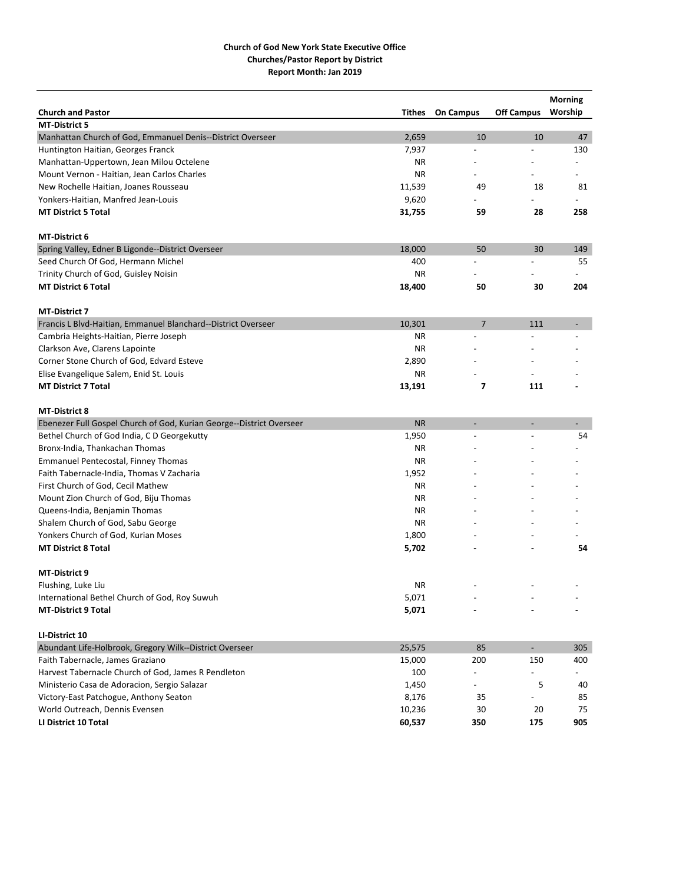| <b>Church and Pastor</b>                                             | Tithes    | <b>On Campus</b>         | <b>Off Campus</b>        | <b>Morning</b><br>Worship |
|----------------------------------------------------------------------|-----------|--------------------------|--------------------------|---------------------------|
| <b>MT-District 5</b>                                                 |           |                          |                          |                           |
| Manhattan Church of God, Emmanuel Denis--District Overseer           | 2,659     | 10                       | 10                       | 47                        |
| Huntington Haitian, Georges Franck                                   | 7,937     | $\overline{a}$           | $\overline{a}$           | 130                       |
| Manhattan-Uppertown, Jean Milou Octelene                             | <b>NR</b> | $\overline{\phantom{a}}$ |                          | $\overline{\phantom{a}}$  |
| Mount Vernon - Haitian, Jean Carlos Charles                          | <b>NR</b> | $\overline{a}$           | $\overline{\phantom{0}}$ | $\overline{\phantom{0}}$  |
| New Rochelle Haitian, Joanes Rousseau                                | 11,539    | 49                       | 18                       | 81                        |
| Yonkers-Haitian, Manfred Jean-Louis                                  | 9,620     |                          |                          |                           |
| <b>MT District 5 Total</b>                                           | 31,755    | 59                       | 28                       | 258                       |
|                                                                      |           |                          |                          |                           |
| MT-District 6                                                        |           |                          |                          |                           |
| Spring Valley, Edner B Ligonde--District Overseer                    | 18,000    | 50                       | 30                       | 149                       |
| Seed Church Of God, Hermann Michel                                   | 400       | $\overline{a}$           | $\overline{\phantom{0}}$ | 55                        |
| Trinity Church of God, Guisley Noisin                                | <b>NR</b> |                          |                          |                           |
| <b>MT District 6 Total</b>                                           | 18,400    | 50                       | 30                       | 204                       |
|                                                                      |           |                          |                          |                           |
| <b>MT-District 7</b>                                                 |           |                          |                          |                           |
| Francis L Blvd-Haitian, Emmanuel Blanchard--District Overseer        | 10,301    | $\overline{7}$           | 111                      |                           |
| Cambria Heights-Haitian, Pierre Joseph                               | ΝR        | $\overline{a}$           |                          |                           |
| Clarkson Ave, Clarens Lapointe                                       | ΝR        |                          |                          |                           |
| Corner Stone Church of God, Edvard Esteve                            | 2,890     |                          |                          |                           |
| Elise Evangelique Salem, Enid St. Louis                              | <b>NR</b> |                          |                          |                           |
| <b>MT District 7 Total</b>                                           | 13,191    | 7                        | 111                      |                           |
| <b>MT-District 8</b>                                                 |           |                          |                          |                           |
| Ebenezer Full Gospel Church of God, Kurian George--District Overseer | <b>NR</b> | ÷,                       |                          |                           |
| Bethel Church of God India, C D Georgekutty                          | 1,950     | $\overline{a}$           | $\overline{a}$           | 54                        |
| Bronx-India, Thankachan Thomas                                       | <b>NR</b> |                          |                          |                           |
| Emmanuel Pentecostal, Finney Thomas                                  | ΝR        |                          |                          |                           |
| Faith Tabernacle-India, Thomas V Zacharia                            | 1,952     |                          |                          |                           |
| First Church of God, Cecil Mathew                                    | <b>NR</b> |                          |                          |                           |
| Mount Zion Church of God, Biju Thomas                                | ΝR        |                          |                          |                           |
| Queens-India, Benjamin Thomas                                        | <b>NR</b> |                          |                          |                           |
| Shalem Church of God, Sabu George                                    | ΝR        |                          |                          |                           |
| Yonkers Church of God, Kurian Moses                                  | 1,800     |                          |                          |                           |
| <b>MT District 8 Total</b>                                           | 5,702     |                          |                          | 54                        |
|                                                                      |           |                          |                          |                           |
| <b>MT-District 9</b>                                                 |           |                          |                          |                           |
| Flushing, Luke Liu                                                   | <b>NR</b> |                          |                          |                           |
| International Bethel Church of God, Roy Suwuh                        | 5,071     |                          |                          |                           |
| <b>MT-District 9 Total</b>                                           | 5,071     |                          |                          |                           |
| LI-District 10                                                       |           |                          |                          |                           |
| Abundant Life-Holbrook, Gregory Wilk--District Overseer              | 25,575    | 85                       | $\sim$                   | 305                       |
| Faith Tabernacle, James Graziano                                     | 15,000    | 200                      | 150                      | 400                       |
| Harvest Tabernacle Church of God, James R Pendleton                  | 100       |                          |                          |                           |
| Ministerio Casa de Adoracion, Sergio Salazar                         | 1,450     | $\overline{a}$           | 5                        | 40                        |
| Victory-East Patchogue, Anthony Seaton                               | 8,176     | 35                       |                          | 85                        |
| World Outreach, Dennis Evensen                                       | 10,236    | 30                       | 20                       | 75                        |
| LI District 10 Total                                                 | 60,537    | 350                      | 175                      | 905                       |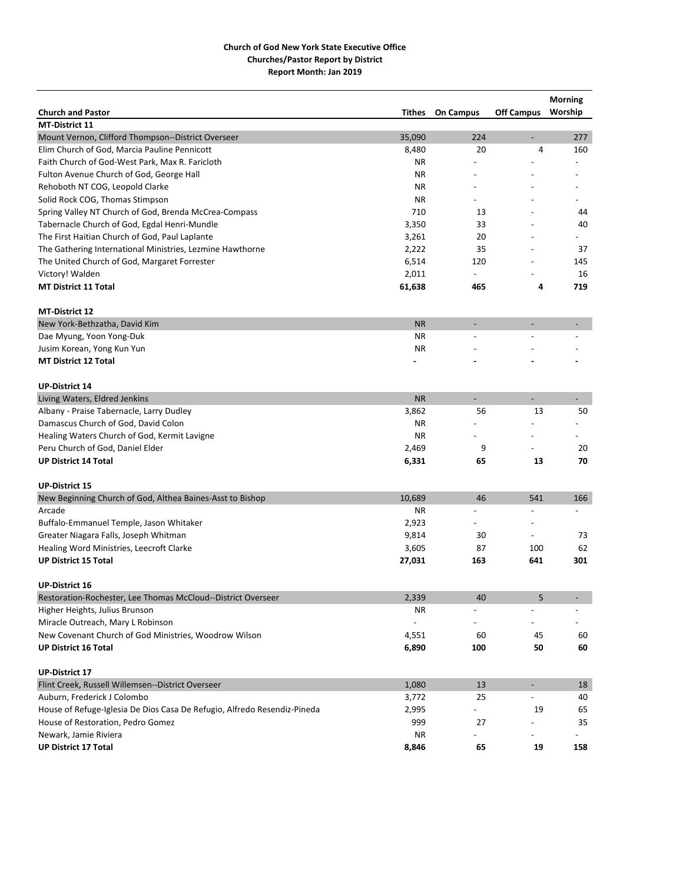| <b>Church and Pastor</b><br><b>Off Campus</b><br>Worship<br>Tithes<br><b>On Campus</b><br><b>MT-District 11</b><br>35,090<br>Mount Vernon, Clifford Thompson--District Overseer<br>224<br>277<br>÷,<br>Elim Church of God, Marcia Pauline Pennicott<br>8,480<br>20<br>160<br>4<br>Faith Church of God-West Park, Max R. Faricloth<br>ΝR<br>$\overline{a}$<br>Fulton Avenue Church of God, George Hall<br><b>NR</b><br>Rehoboth NT COG, Leopold Clarke<br>ΝR<br>Solid Rock COG, Thomas Stimpson<br><b>NR</b><br>Spring Valley NT Church of God, Brenda McCrea-Compass<br>710<br>13<br>44<br>Tabernacle Church of God, Egdal Henri-Mundle<br>3,350<br>33<br>40<br>The First Haitian Church of God, Paul Laplante<br>3,261<br>20<br>The Gathering International Ministries, Lezmine Hawthorne<br>2,222<br>35<br>37<br>$\overline{a}$<br>6,514<br>The United Church of God, Margaret Forrester<br>120<br>145<br>$\overline{a}$<br>Victory! Walden<br>2,011<br>16<br><b>MT District 11 Total</b><br>61,638<br>465<br>719<br>4<br><b>MT-District 12</b><br><b>NR</b><br>New York-Bethzatha, David Kim<br>$\overline{\phantom{a}}$<br>$\overline{\phantom{a}}$<br>Dae Myung, Yoon Yong-Duk<br><b>NR</b><br>$\overline{a}$<br>Jusim Korean, Yong Kun Yun<br>ΝR<br><b>MT District 12 Total</b><br><b>UP-District 14</b><br>Living Waters, Eldred Jenkins<br><b>NR</b><br>Albany - Praise Tabernacle, Larry Dudley<br>3,862<br>56<br>13<br>50<br>Damascus Church of God, David Colon<br><b>NR</b><br>$\overline{a}$<br>Healing Waters Church of God, Kermit Lavigne<br>ΝR<br>$\overline{a}$<br>Peru Church of God, Daniel Elder<br>2,469<br>9<br>20<br><b>UP District 14 Total</b><br>6,331<br>13<br>70<br>65<br><b>UP-District 15</b><br>New Beginning Church of God, Althea Baines-Asst to Bishop<br>10,689<br>46<br>541<br>166<br>Arcade<br>ΝR<br>$\overline{a}$<br>Buffalo-Emmanuel Temple, Jason Whitaker<br>2,923<br>$\overline{a}$<br>$\overline{a}$<br>Greater Niagara Falls, Joseph Whitman<br>9,814<br>30<br>73<br>$\overline{\phantom{a}}$<br>62<br>Healing Word Ministries, Leecroft Clarke<br>3,605<br>87<br>100<br><b>UP District 15 Total</b><br>27,031<br>163<br>641<br>301<br><b>UP-District 16</b><br>2,339<br>5<br>Restoration-Rochester, Lee Thomas McCloud--District Overseer<br>40<br>Higher Heights, Julius Brunson<br>ΝR<br>$\overline{a}$<br>$\overline{a}$<br>$\overline{\phantom{a}}$<br>Miracle Outreach, Mary L Robinson<br>New Covenant Church of God Ministries, Woodrow Wilson<br>4,551<br>60<br>45<br>60<br>6,890<br>100<br><b>UP District 16 Total</b><br>50<br>60<br><b>UP-District 17</b><br>1,080<br>Flint Creek, Russell Willemsen--District Overseer<br>13<br>18<br>$\overline{\phantom{a}}$<br>Auburn, Frederick J Colombo<br>3,772<br>25<br>40<br>$\overline{\phantom{a}}$<br>2,995<br>19<br>House of Refuge-Iglesia De Dios Casa De Refugio, Alfredo Resendiz-Pineda<br>65<br>$\overline{\phantom{0}}$<br>House of Restoration, Pedro Gomez<br>999<br>27<br>35<br><b>NR</b><br>Newark, Jamie Riviera<br><b>UP District 17 Total</b><br>8,846<br>65<br>19<br>158 |  |  | <b>Morning</b> |
|-------------------------------------------------------------------------------------------------------------------------------------------------------------------------------------------------------------------------------------------------------------------------------------------------------------------------------------------------------------------------------------------------------------------------------------------------------------------------------------------------------------------------------------------------------------------------------------------------------------------------------------------------------------------------------------------------------------------------------------------------------------------------------------------------------------------------------------------------------------------------------------------------------------------------------------------------------------------------------------------------------------------------------------------------------------------------------------------------------------------------------------------------------------------------------------------------------------------------------------------------------------------------------------------------------------------------------------------------------------------------------------------------------------------------------------------------------------------------------------------------------------------------------------------------------------------------------------------------------------------------------------------------------------------------------------------------------------------------------------------------------------------------------------------------------------------------------------------------------------------------------------------------------------------------------------------------------------------------------------------------------------------------------------------------------------------------------------------------------------------------------------------------------------------------------------------------------------------------------------------------------------------------------------------------------------------------------------------------------------------------------------------------------------------------------------------------------------------------------------------------------------------------------------------------------------------------------------------------------------------------------------------------------------------------------------------------------------------------------------------------------------------------------------------------------------------------------------------------------------------------------------------------------------------------------------------------------------------------------------------------------------------------------------------------------------------------------------------------|--|--|----------------|
|                                                                                                                                                                                                                                                                                                                                                                                                                                                                                                                                                                                                                                                                                                                                                                                                                                                                                                                                                                                                                                                                                                                                                                                                                                                                                                                                                                                                                                                                                                                                                                                                                                                                                                                                                                                                                                                                                                                                                                                                                                                                                                                                                                                                                                                                                                                                                                                                                                                                                                                                                                                                                                                                                                                                                                                                                                                                                                                                                                                                                                                                                                 |  |  |                |
|                                                                                                                                                                                                                                                                                                                                                                                                                                                                                                                                                                                                                                                                                                                                                                                                                                                                                                                                                                                                                                                                                                                                                                                                                                                                                                                                                                                                                                                                                                                                                                                                                                                                                                                                                                                                                                                                                                                                                                                                                                                                                                                                                                                                                                                                                                                                                                                                                                                                                                                                                                                                                                                                                                                                                                                                                                                                                                                                                                                                                                                                                                 |  |  |                |
|                                                                                                                                                                                                                                                                                                                                                                                                                                                                                                                                                                                                                                                                                                                                                                                                                                                                                                                                                                                                                                                                                                                                                                                                                                                                                                                                                                                                                                                                                                                                                                                                                                                                                                                                                                                                                                                                                                                                                                                                                                                                                                                                                                                                                                                                                                                                                                                                                                                                                                                                                                                                                                                                                                                                                                                                                                                                                                                                                                                                                                                                                                 |  |  |                |
|                                                                                                                                                                                                                                                                                                                                                                                                                                                                                                                                                                                                                                                                                                                                                                                                                                                                                                                                                                                                                                                                                                                                                                                                                                                                                                                                                                                                                                                                                                                                                                                                                                                                                                                                                                                                                                                                                                                                                                                                                                                                                                                                                                                                                                                                                                                                                                                                                                                                                                                                                                                                                                                                                                                                                                                                                                                                                                                                                                                                                                                                                                 |  |  |                |
|                                                                                                                                                                                                                                                                                                                                                                                                                                                                                                                                                                                                                                                                                                                                                                                                                                                                                                                                                                                                                                                                                                                                                                                                                                                                                                                                                                                                                                                                                                                                                                                                                                                                                                                                                                                                                                                                                                                                                                                                                                                                                                                                                                                                                                                                                                                                                                                                                                                                                                                                                                                                                                                                                                                                                                                                                                                                                                                                                                                                                                                                                                 |  |  |                |
|                                                                                                                                                                                                                                                                                                                                                                                                                                                                                                                                                                                                                                                                                                                                                                                                                                                                                                                                                                                                                                                                                                                                                                                                                                                                                                                                                                                                                                                                                                                                                                                                                                                                                                                                                                                                                                                                                                                                                                                                                                                                                                                                                                                                                                                                                                                                                                                                                                                                                                                                                                                                                                                                                                                                                                                                                                                                                                                                                                                                                                                                                                 |  |  |                |
|                                                                                                                                                                                                                                                                                                                                                                                                                                                                                                                                                                                                                                                                                                                                                                                                                                                                                                                                                                                                                                                                                                                                                                                                                                                                                                                                                                                                                                                                                                                                                                                                                                                                                                                                                                                                                                                                                                                                                                                                                                                                                                                                                                                                                                                                                                                                                                                                                                                                                                                                                                                                                                                                                                                                                                                                                                                                                                                                                                                                                                                                                                 |  |  |                |
|                                                                                                                                                                                                                                                                                                                                                                                                                                                                                                                                                                                                                                                                                                                                                                                                                                                                                                                                                                                                                                                                                                                                                                                                                                                                                                                                                                                                                                                                                                                                                                                                                                                                                                                                                                                                                                                                                                                                                                                                                                                                                                                                                                                                                                                                                                                                                                                                                                                                                                                                                                                                                                                                                                                                                                                                                                                                                                                                                                                                                                                                                                 |  |  |                |
|                                                                                                                                                                                                                                                                                                                                                                                                                                                                                                                                                                                                                                                                                                                                                                                                                                                                                                                                                                                                                                                                                                                                                                                                                                                                                                                                                                                                                                                                                                                                                                                                                                                                                                                                                                                                                                                                                                                                                                                                                                                                                                                                                                                                                                                                                                                                                                                                                                                                                                                                                                                                                                                                                                                                                                                                                                                                                                                                                                                                                                                                                                 |  |  |                |
|                                                                                                                                                                                                                                                                                                                                                                                                                                                                                                                                                                                                                                                                                                                                                                                                                                                                                                                                                                                                                                                                                                                                                                                                                                                                                                                                                                                                                                                                                                                                                                                                                                                                                                                                                                                                                                                                                                                                                                                                                                                                                                                                                                                                                                                                                                                                                                                                                                                                                                                                                                                                                                                                                                                                                                                                                                                                                                                                                                                                                                                                                                 |  |  |                |
|                                                                                                                                                                                                                                                                                                                                                                                                                                                                                                                                                                                                                                                                                                                                                                                                                                                                                                                                                                                                                                                                                                                                                                                                                                                                                                                                                                                                                                                                                                                                                                                                                                                                                                                                                                                                                                                                                                                                                                                                                                                                                                                                                                                                                                                                                                                                                                                                                                                                                                                                                                                                                                                                                                                                                                                                                                                                                                                                                                                                                                                                                                 |  |  |                |
|                                                                                                                                                                                                                                                                                                                                                                                                                                                                                                                                                                                                                                                                                                                                                                                                                                                                                                                                                                                                                                                                                                                                                                                                                                                                                                                                                                                                                                                                                                                                                                                                                                                                                                                                                                                                                                                                                                                                                                                                                                                                                                                                                                                                                                                                                                                                                                                                                                                                                                                                                                                                                                                                                                                                                                                                                                                                                                                                                                                                                                                                                                 |  |  |                |
|                                                                                                                                                                                                                                                                                                                                                                                                                                                                                                                                                                                                                                                                                                                                                                                                                                                                                                                                                                                                                                                                                                                                                                                                                                                                                                                                                                                                                                                                                                                                                                                                                                                                                                                                                                                                                                                                                                                                                                                                                                                                                                                                                                                                                                                                                                                                                                                                                                                                                                                                                                                                                                                                                                                                                                                                                                                                                                                                                                                                                                                                                                 |  |  |                |
|                                                                                                                                                                                                                                                                                                                                                                                                                                                                                                                                                                                                                                                                                                                                                                                                                                                                                                                                                                                                                                                                                                                                                                                                                                                                                                                                                                                                                                                                                                                                                                                                                                                                                                                                                                                                                                                                                                                                                                                                                                                                                                                                                                                                                                                                                                                                                                                                                                                                                                                                                                                                                                                                                                                                                                                                                                                                                                                                                                                                                                                                                                 |  |  |                |
|                                                                                                                                                                                                                                                                                                                                                                                                                                                                                                                                                                                                                                                                                                                                                                                                                                                                                                                                                                                                                                                                                                                                                                                                                                                                                                                                                                                                                                                                                                                                                                                                                                                                                                                                                                                                                                                                                                                                                                                                                                                                                                                                                                                                                                                                                                                                                                                                                                                                                                                                                                                                                                                                                                                                                                                                                                                                                                                                                                                                                                                                                                 |  |  |                |
|                                                                                                                                                                                                                                                                                                                                                                                                                                                                                                                                                                                                                                                                                                                                                                                                                                                                                                                                                                                                                                                                                                                                                                                                                                                                                                                                                                                                                                                                                                                                                                                                                                                                                                                                                                                                                                                                                                                                                                                                                                                                                                                                                                                                                                                                                                                                                                                                                                                                                                                                                                                                                                                                                                                                                                                                                                                                                                                                                                                                                                                                                                 |  |  |                |
|                                                                                                                                                                                                                                                                                                                                                                                                                                                                                                                                                                                                                                                                                                                                                                                                                                                                                                                                                                                                                                                                                                                                                                                                                                                                                                                                                                                                                                                                                                                                                                                                                                                                                                                                                                                                                                                                                                                                                                                                                                                                                                                                                                                                                                                                                                                                                                                                                                                                                                                                                                                                                                                                                                                                                                                                                                                                                                                                                                                                                                                                                                 |  |  |                |
|                                                                                                                                                                                                                                                                                                                                                                                                                                                                                                                                                                                                                                                                                                                                                                                                                                                                                                                                                                                                                                                                                                                                                                                                                                                                                                                                                                                                                                                                                                                                                                                                                                                                                                                                                                                                                                                                                                                                                                                                                                                                                                                                                                                                                                                                                                                                                                                                                                                                                                                                                                                                                                                                                                                                                                                                                                                                                                                                                                                                                                                                                                 |  |  |                |
|                                                                                                                                                                                                                                                                                                                                                                                                                                                                                                                                                                                                                                                                                                                                                                                                                                                                                                                                                                                                                                                                                                                                                                                                                                                                                                                                                                                                                                                                                                                                                                                                                                                                                                                                                                                                                                                                                                                                                                                                                                                                                                                                                                                                                                                                                                                                                                                                                                                                                                                                                                                                                                                                                                                                                                                                                                                                                                                                                                                                                                                                                                 |  |  |                |
|                                                                                                                                                                                                                                                                                                                                                                                                                                                                                                                                                                                                                                                                                                                                                                                                                                                                                                                                                                                                                                                                                                                                                                                                                                                                                                                                                                                                                                                                                                                                                                                                                                                                                                                                                                                                                                                                                                                                                                                                                                                                                                                                                                                                                                                                                                                                                                                                                                                                                                                                                                                                                                                                                                                                                                                                                                                                                                                                                                                                                                                                                                 |  |  |                |
|                                                                                                                                                                                                                                                                                                                                                                                                                                                                                                                                                                                                                                                                                                                                                                                                                                                                                                                                                                                                                                                                                                                                                                                                                                                                                                                                                                                                                                                                                                                                                                                                                                                                                                                                                                                                                                                                                                                                                                                                                                                                                                                                                                                                                                                                                                                                                                                                                                                                                                                                                                                                                                                                                                                                                                                                                                                                                                                                                                                                                                                                                                 |  |  |                |
|                                                                                                                                                                                                                                                                                                                                                                                                                                                                                                                                                                                                                                                                                                                                                                                                                                                                                                                                                                                                                                                                                                                                                                                                                                                                                                                                                                                                                                                                                                                                                                                                                                                                                                                                                                                                                                                                                                                                                                                                                                                                                                                                                                                                                                                                                                                                                                                                                                                                                                                                                                                                                                                                                                                                                                                                                                                                                                                                                                                                                                                                                                 |  |  |                |
|                                                                                                                                                                                                                                                                                                                                                                                                                                                                                                                                                                                                                                                                                                                                                                                                                                                                                                                                                                                                                                                                                                                                                                                                                                                                                                                                                                                                                                                                                                                                                                                                                                                                                                                                                                                                                                                                                                                                                                                                                                                                                                                                                                                                                                                                                                                                                                                                                                                                                                                                                                                                                                                                                                                                                                                                                                                                                                                                                                                                                                                                                                 |  |  |                |
|                                                                                                                                                                                                                                                                                                                                                                                                                                                                                                                                                                                                                                                                                                                                                                                                                                                                                                                                                                                                                                                                                                                                                                                                                                                                                                                                                                                                                                                                                                                                                                                                                                                                                                                                                                                                                                                                                                                                                                                                                                                                                                                                                                                                                                                                                                                                                                                                                                                                                                                                                                                                                                                                                                                                                                                                                                                                                                                                                                                                                                                                                                 |  |  |                |
|                                                                                                                                                                                                                                                                                                                                                                                                                                                                                                                                                                                                                                                                                                                                                                                                                                                                                                                                                                                                                                                                                                                                                                                                                                                                                                                                                                                                                                                                                                                                                                                                                                                                                                                                                                                                                                                                                                                                                                                                                                                                                                                                                                                                                                                                                                                                                                                                                                                                                                                                                                                                                                                                                                                                                                                                                                                                                                                                                                                                                                                                                                 |  |  |                |
|                                                                                                                                                                                                                                                                                                                                                                                                                                                                                                                                                                                                                                                                                                                                                                                                                                                                                                                                                                                                                                                                                                                                                                                                                                                                                                                                                                                                                                                                                                                                                                                                                                                                                                                                                                                                                                                                                                                                                                                                                                                                                                                                                                                                                                                                                                                                                                                                                                                                                                                                                                                                                                                                                                                                                                                                                                                                                                                                                                                                                                                                                                 |  |  |                |
|                                                                                                                                                                                                                                                                                                                                                                                                                                                                                                                                                                                                                                                                                                                                                                                                                                                                                                                                                                                                                                                                                                                                                                                                                                                                                                                                                                                                                                                                                                                                                                                                                                                                                                                                                                                                                                                                                                                                                                                                                                                                                                                                                                                                                                                                                                                                                                                                                                                                                                                                                                                                                                                                                                                                                                                                                                                                                                                                                                                                                                                                                                 |  |  |                |
|                                                                                                                                                                                                                                                                                                                                                                                                                                                                                                                                                                                                                                                                                                                                                                                                                                                                                                                                                                                                                                                                                                                                                                                                                                                                                                                                                                                                                                                                                                                                                                                                                                                                                                                                                                                                                                                                                                                                                                                                                                                                                                                                                                                                                                                                                                                                                                                                                                                                                                                                                                                                                                                                                                                                                                                                                                                                                                                                                                                                                                                                                                 |  |  |                |
|                                                                                                                                                                                                                                                                                                                                                                                                                                                                                                                                                                                                                                                                                                                                                                                                                                                                                                                                                                                                                                                                                                                                                                                                                                                                                                                                                                                                                                                                                                                                                                                                                                                                                                                                                                                                                                                                                                                                                                                                                                                                                                                                                                                                                                                                                                                                                                                                                                                                                                                                                                                                                                                                                                                                                                                                                                                                                                                                                                                                                                                                                                 |  |  |                |
|                                                                                                                                                                                                                                                                                                                                                                                                                                                                                                                                                                                                                                                                                                                                                                                                                                                                                                                                                                                                                                                                                                                                                                                                                                                                                                                                                                                                                                                                                                                                                                                                                                                                                                                                                                                                                                                                                                                                                                                                                                                                                                                                                                                                                                                                                                                                                                                                                                                                                                                                                                                                                                                                                                                                                                                                                                                                                                                                                                                                                                                                                                 |  |  |                |
|                                                                                                                                                                                                                                                                                                                                                                                                                                                                                                                                                                                                                                                                                                                                                                                                                                                                                                                                                                                                                                                                                                                                                                                                                                                                                                                                                                                                                                                                                                                                                                                                                                                                                                                                                                                                                                                                                                                                                                                                                                                                                                                                                                                                                                                                                                                                                                                                                                                                                                                                                                                                                                                                                                                                                                                                                                                                                                                                                                                                                                                                                                 |  |  |                |
|                                                                                                                                                                                                                                                                                                                                                                                                                                                                                                                                                                                                                                                                                                                                                                                                                                                                                                                                                                                                                                                                                                                                                                                                                                                                                                                                                                                                                                                                                                                                                                                                                                                                                                                                                                                                                                                                                                                                                                                                                                                                                                                                                                                                                                                                                                                                                                                                                                                                                                                                                                                                                                                                                                                                                                                                                                                                                                                                                                                                                                                                                                 |  |  |                |
|                                                                                                                                                                                                                                                                                                                                                                                                                                                                                                                                                                                                                                                                                                                                                                                                                                                                                                                                                                                                                                                                                                                                                                                                                                                                                                                                                                                                                                                                                                                                                                                                                                                                                                                                                                                                                                                                                                                                                                                                                                                                                                                                                                                                                                                                                                                                                                                                                                                                                                                                                                                                                                                                                                                                                                                                                                                                                                                                                                                                                                                                                                 |  |  |                |
|                                                                                                                                                                                                                                                                                                                                                                                                                                                                                                                                                                                                                                                                                                                                                                                                                                                                                                                                                                                                                                                                                                                                                                                                                                                                                                                                                                                                                                                                                                                                                                                                                                                                                                                                                                                                                                                                                                                                                                                                                                                                                                                                                                                                                                                                                                                                                                                                                                                                                                                                                                                                                                                                                                                                                                                                                                                                                                                                                                                                                                                                                                 |  |  |                |
|                                                                                                                                                                                                                                                                                                                                                                                                                                                                                                                                                                                                                                                                                                                                                                                                                                                                                                                                                                                                                                                                                                                                                                                                                                                                                                                                                                                                                                                                                                                                                                                                                                                                                                                                                                                                                                                                                                                                                                                                                                                                                                                                                                                                                                                                                                                                                                                                                                                                                                                                                                                                                                                                                                                                                                                                                                                                                                                                                                                                                                                                                                 |  |  |                |
|                                                                                                                                                                                                                                                                                                                                                                                                                                                                                                                                                                                                                                                                                                                                                                                                                                                                                                                                                                                                                                                                                                                                                                                                                                                                                                                                                                                                                                                                                                                                                                                                                                                                                                                                                                                                                                                                                                                                                                                                                                                                                                                                                                                                                                                                                                                                                                                                                                                                                                                                                                                                                                                                                                                                                                                                                                                                                                                                                                                                                                                                                                 |  |  |                |
|                                                                                                                                                                                                                                                                                                                                                                                                                                                                                                                                                                                                                                                                                                                                                                                                                                                                                                                                                                                                                                                                                                                                                                                                                                                                                                                                                                                                                                                                                                                                                                                                                                                                                                                                                                                                                                                                                                                                                                                                                                                                                                                                                                                                                                                                                                                                                                                                                                                                                                                                                                                                                                                                                                                                                                                                                                                                                                                                                                                                                                                                                                 |  |  |                |
|                                                                                                                                                                                                                                                                                                                                                                                                                                                                                                                                                                                                                                                                                                                                                                                                                                                                                                                                                                                                                                                                                                                                                                                                                                                                                                                                                                                                                                                                                                                                                                                                                                                                                                                                                                                                                                                                                                                                                                                                                                                                                                                                                                                                                                                                                                                                                                                                                                                                                                                                                                                                                                                                                                                                                                                                                                                                                                                                                                                                                                                                                                 |  |  |                |
|                                                                                                                                                                                                                                                                                                                                                                                                                                                                                                                                                                                                                                                                                                                                                                                                                                                                                                                                                                                                                                                                                                                                                                                                                                                                                                                                                                                                                                                                                                                                                                                                                                                                                                                                                                                                                                                                                                                                                                                                                                                                                                                                                                                                                                                                                                                                                                                                                                                                                                                                                                                                                                                                                                                                                                                                                                                                                                                                                                                                                                                                                                 |  |  |                |
|                                                                                                                                                                                                                                                                                                                                                                                                                                                                                                                                                                                                                                                                                                                                                                                                                                                                                                                                                                                                                                                                                                                                                                                                                                                                                                                                                                                                                                                                                                                                                                                                                                                                                                                                                                                                                                                                                                                                                                                                                                                                                                                                                                                                                                                                                                                                                                                                                                                                                                                                                                                                                                                                                                                                                                                                                                                                                                                                                                                                                                                                                                 |  |  |                |
|                                                                                                                                                                                                                                                                                                                                                                                                                                                                                                                                                                                                                                                                                                                                                                                                                                                                                                                                                                                                                                                                                                                                                                                                                                                                                                                                                                                                                                                                                                                                                                                                                                                                                                                                                                                                                                                                                                                                                                                                                                                                                                                                                                                                                                                                                                                                                                                                                                                                                                                                                                                                                                                                                                                                                                                                                                                                                                                                                                                                                                                                                                 |  |  |                |
|                                                                                                                                                                                                                                                                                                                                                                                                                                                                                                                                                                                                                                                                                                                                                                                                                                                                                                                                                                                                                                                                                                                                                                                                                                                                                                                                                                                                                                                                                                                                                                                                                                                                                                                                                                                                                                                                                                                                                                                                                                                                                                                                                                                                                                                                                                                                                                                                                                                                                                                                                                                                                                                                                                                                                                                                                                                                                                                                                                                                                                                                                                 |  |  |                |
|                                                                                                                                                                                                                                                                                                                                                                                                                                                                                                                                                                                                                                                                                                                                                                                                                                                                                                                                                                                                                                                                                                                                                                                                                                                                                                                                                                                                                                                                                                                                                                                                                                                                                                                                                                                                                                                                                                                                                                                                                                                                                                                                                                                                                                                                                                                                                                                                                                                                                                                                                                                                                                                                                                                                                                                                                                                                                                                                                                                                                                                                                                 |  |  |                |
|                                                                                                                                                                                                                                                                                                                                                                                                                                                                                                                                                                                                                                                                                                                                                                                                                                                                                                                                                                                                                                                                                                                                                                                                                                                                                                                                                                                                                                                                                                                                                                                                                                                                                                                                                                                                                                                                                                                                                                                                                                                                                                                                                                                                                                                                                                                                                                                                                                                                                                                                                                                                                                                                                                                                                                                                                                                                                                                                                                                                                                                                                                 |  |  |                |
|                                                                                                                                                                                                                                                                                                                                                                                                                                                                                                                                                                                                                                                                                                                                                                                                                                                                                                                                                                                                                                                                                                                                                                                                                                                                                                                                                                                                                                                                                                                                                                                                                                                                                                                                                                                                                                                                                                                                                                                                                                                                                                                                                                                                                                                                                                                                                                                                                                                                                                                                                                                                                                                                                                                                                                                                                                                                                                                                                                                                                                                                                                 |  |  |                |
|                                                                                                                                                                                                                                                                                                                                                                                                                                                                                                                                                                                                                                                                                                                                                                                                                                                                                                                                                                                                                                                                                                                                                                                                                                                                                                                                                                                                                                                                                                                                                                                                                                                                                                                                                                                                                                                                                                                                                                                                                                                                                                                                                                                                                                                                                                                                                                                                                                                                                                                                                                                                                                                                                                                                                                                                                                                                                                                                                                                                                                                                                                 |  |  |                |
|                                                                                                                                                                                                                                                                                                                                                                                                                                                                                                                                                                                                                                                                                                                                                                                                                                                                                                                                                                                                                                                                                                                                                                                                                                                                                                                                                                                                                                                                                                                                                                                                                                                                                                                                                                                                                                                                                                                                                                                                                                                                                                                                                                                                                                                                                                                                                                                                                                                                                                                                                                                                                                                                                                                                                                                                                                                                                                                                                                                                                                                                                                 |  |  |                |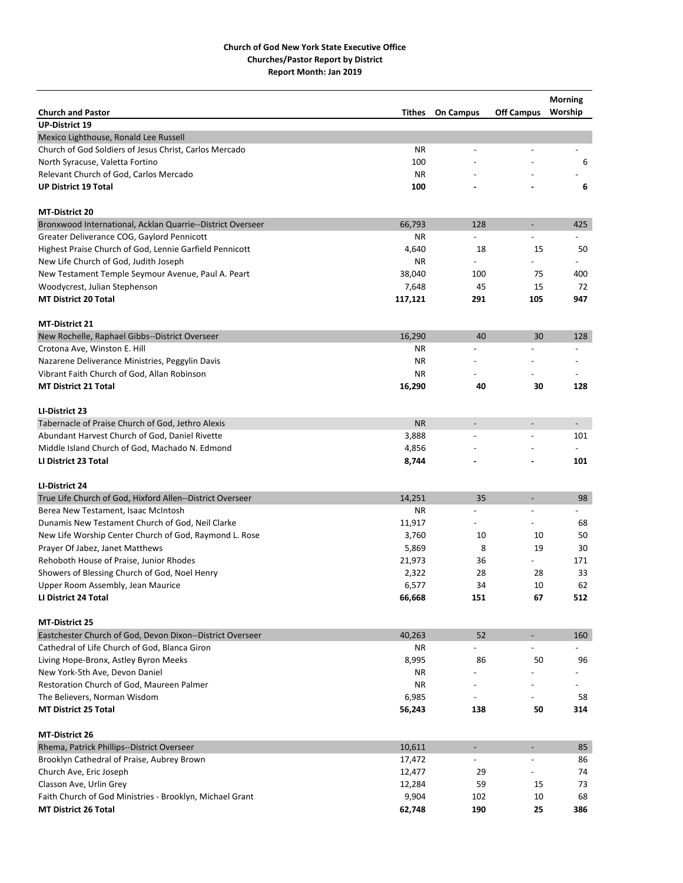|                                                            |           |                          |                          | <b>Morning</b>           |
|------------------------------------------------------------|-----------|--------------------------|--------------------------|--------------------------|
| <b>Church and Pastor</b>                                   | Tithes    | <b>On Campus</b>         | <b>Off Campus</b>        | Worship                  |
| <b>UP-District 19</b>                                      |           |                          |                          |                          |
| Mexico Lighthouse, Ronald Lee Russell                      |           |                          |                          |                          |
| Church of God Soldiers of Jesus Christ, Carlos Mercado     | <b>NR</b> | $\overline{\phantom{a}}$ | $\overline{a}$           | $\overline{a}$           |
| North Syracuse, Valetta Fortino                            | 100       |                          |                          | 6                        |
| Relevant Church of God, Carlos Mercado                     | <b>NR</b> |                          |                          |                          |
| <b>UP District 19 Total</b>                                | 100       |                          |                          | 6                        |
| <b>MT-District 20</b>                                      |           |                          |                          |                          |
| Bronxwood International, Acklan Quarrie--District Overseer | 66,793    | 128                      | $\overline{\phantom{a}}$ | 425                      |
| Greater Deliverance COG, Gaylord Pennicott                 | ΝR        | $\overline{a}$           |                          |                          |
| Highest Praise Church of God, Lennie Garfield Pennicott    | 4,640     | 18                       | 15                       | 50                       |
| New Life Church of God, Judith Joseph                      | ΝR        |                          |                          |                          |
| New Testament Temple Seymour Avenue, Paul A. Peart         | 38,040    | 100                      | 75                       | 400                      |
| Woodycrest, Julian Stephenson                              | 7,648     | 45                       | 15                       | 72                       |
| <b>MT District 20 Total</b>                                | 117,121   | 291                      | 105                      | 947                      |
| <b>MT-District 21</b>                                      |           |                          |                          |                          |
| New Rochelle, Raphael Gibbs--District Overseer             | 16,290    | 40                       | 30                       | 128                      |
| Crotona Ave, Winston E. Hill                               | ΝR        |                          |                          |                          |
| Nazarene Deliverance Ministries, Peggylin Davis            | ΝR        |                          |                          |                          |
| Vibrant Faith Church of God, Allan Robinson                | <b>NR</b> |                          |                          |                          |
| <b>MT District 21 Total</b>                                | 16,290    | 40                       | 30                       | 128                      |
|                                                            |           |                          |                          |                          |
| LI-District 23                                             |           |                          |                          |                          |
| Tabernacle of Praise Church of God, Jethro Alexis          | <b>NR</b> | $\overline{\phantom{a}}$ | $\overline{\phantom{a}}$ | $\overline{\phantom{a}}$ |
| Abundant Harvest Church of God, Daniel Rivette             | 3,888     |                          | $\overline{a}$           | 101                      |
| Middle Island Church of God, Machado N. Edmond             | 4,856     |                          |                          |                          |
| <b>LI District 23 Total</b>                                | 8,744     |                          |                          | 101                      |
| LI-District 24                                             |           |                          |                          |                          |
| True Life Church of God, Hixford Allen--District Overseer  | 14,251    | 35                       | $\overline{\phantom{a}}$ | 98                       |
| Berea New Testament, Isaac McIntosh                        | ΝR        | $\overline{a}$           | $\overline{a}$           | $\overline{a}$           |
| Dunamis New Testament Church of God, Neil Clarke           | 11,917    | $\overline{\phantom{0}}$ | $\overline{\phantom{0}}$ | 68                       |
| New Life Worship Center Church of God, Raymond L. Rose     | 3,760     | 10                       | 10                       | 50                       |
| Prayer Of Jabez, Janet Matthews                            | 5,869     | 8                        | 19                       | 30                       |
| Rehoboth House of Praise, Junior Rhodes                    | 21,973    | 36                       |                          | 171                      |
| Showers of Blessing Church of God, Noel Henry              | 2,322     | 28                       | 28                       | 33                       |
| Upper Room Assembly, Jean Maurice                          | 6,577     | 34                       | 10                       | 62                       |
| LI District 24 Total                                       | 66,668    | 151                      | 67                       | 512                      |
| <b>MT-District 25</b>                                      |           |                          |                          |                          |
| Eastchester Church of God, Devon Dixon--District Overseer  | 40,263    | 52                       | $\overline{\phantom{a}}$ | 160                      |
| Cathedral of Life Church of God, Blanca Giron              | ΝR        |                          |                          |                          |
| Living Hope-Bronx, Astley Byron Meeks                      | 8,995     | 86                       | 50                       | 96                       |
| New York-5th Ave, Devon Daniel                             | ΝR        |                          |                          |                          |
| Restoration Church of God, Maureen Palmer                  | ΝR        | $\overline{\phantom{a}}$ |                          | $\overline{\phantom{a}}$ |
| The Believers, Norman Wisdom                               | 6,985     |                          |                          | 58                       |
| <b>MT District 25 Total</b>                                | 56,243    | 138                      | 50                       | 314                      |
| <b>MT-District 26</b>                                      |           |                          |                          |                          |
| Rhema, Patrick Phillips--District Overseer                 | 10,611    | $\overline{\phantom{a}}$ | $\overline{\phantom{a}}$ | 85                       |
| Brooklyn Cathedral of Praise, Aubrey Brown                 | 17,472    |                          |                          | 86                       |
| Church Ave, Eric Joseph                                    | 12,477    | 29                       |                          | 74                       |
| Classon Ave, Urlin Grey                                    | 12,284    | 59                       | 15                       | 73                       |
| Faith Church of God Ministries - Brooklyn, Michael Grant   | 9,904     | 102                      | 10                       | 68                       |
| <b>MT District 26 Total</b>                                | 62,748    | 190                      | 25                       | 386                      |
|                                                            |           |                          |                          |                          |